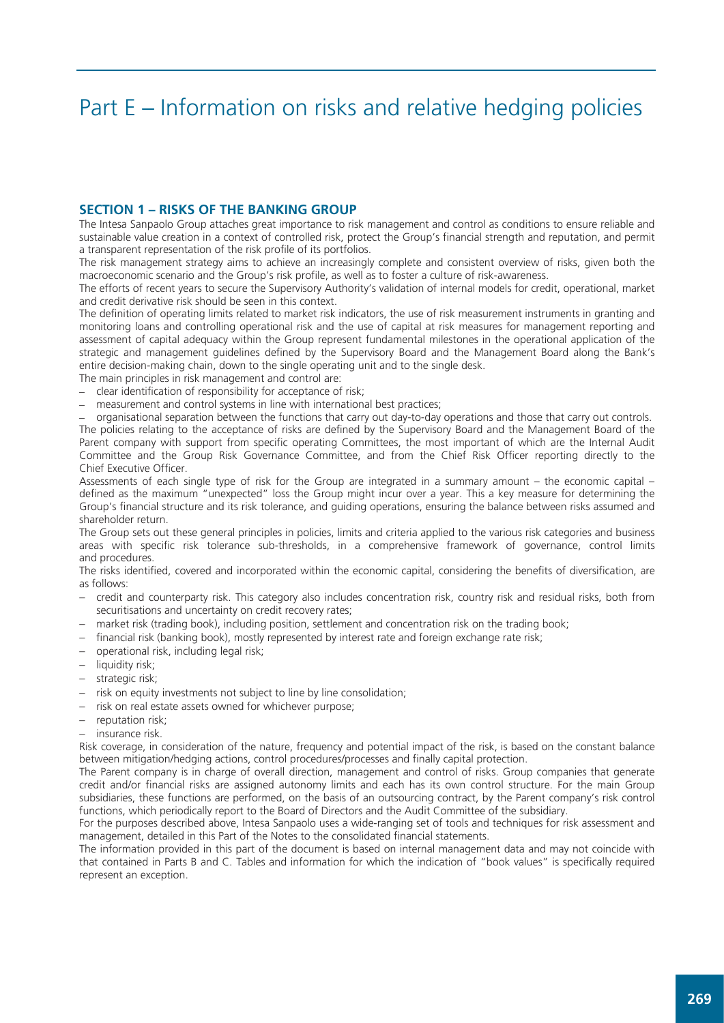# Part E – Information on risks and relative hedging policies

## SECTION 1 – RISKS OF THE BANKING GROUP

The Intesa Sanpaolo Group attaches great importance to risk management and control as conditions to ensure reliable and sustainable value creation in a context of controlled risk, protect the Group's financial strength and reputation, and permit a transparent representation of the risk profile of its portfolios.

The risk management strategy aims to achieve an increasingly complete and consistent overview of risks, given both the macroeconomic scenario and the Group's risk profile, as well as to foster a culture of risk-awareness.

The efforts of recent years to secure the Supervisory Authority's validation of internal models for credit, operational, market and credit derivative risk should be seen in this context.

The definition of operating limits related to market risk indicators, the use of risk measurement instruments in granting and monitoring loans and controlling operational risk and the use of capital at risk measures for management reporting and assessment of capital adequacy within the Group represent fundamental milestones in the operational application of the strategic and management guidelines defined by the Supervisory Board and the Management Board along the Bank's entire decision-making chain, down to the single operating unit and to the single desk.

The main principles in risk management and control are:

- clear identification of responsibility for acceptance of risk;
- measurement and control systems in line with international best practices;

– organisational separation between the functions that carry out day-to-day operations and those that carry out controls. The policies relating to the acceptance of risks are defined by the Supervisory Board and the Management Board of the Parent company with support from specific operating Committees, the most important of which are the Internal Audit Committee and the Group Risk Governance Committee, and from the Chief Risk Officer reporting directly to the Chief Executive Officer.

Assessments of each single type of risk for the Group are integrated in a summary amount – the economic capital – defined as the maximum "unexpected" loss the Group might incur over a year. This a key measure for determining the Group's financial structure and its risk tolerance, and guiding operations, ensuring the balance between risks assumed and shareholder return.

The Group sets out these general principles in policies, limits and criteria applied to the various risk categories and business areas with specific risk tolerance sub-thresholds, in a comprehensive framework of governance, control limits and procedures.

The risks identified, covered and incorporated within the economic capital, considering the benefits of diversification, are as follows:

- − credit and counterparty risk. This category also includes concentration risk, country risk and residual risks, both from securitisations and uncertainty on credit recovery rates;
- − market risk (trading book), including position, settlement and concentration risk on the trading book;
- − financial risk (banking book), mostly represented by interest rate and foreign exchange rate risk;
- − operational risk, including legal risk;
- − liquidity risk;
- − strategic risk;
- − risk on equity investments not subject to line by line consolidation;
- − risk on real estate assets owned for whichever purpose;
- − reputation risk;
- − insurance risk.

Risk coverage, in consideration of the nature, frequency and potential impact of the risk, is based on the constant balance between mitigation/hedging actions, control procedures/processes and finally capital protection.

The Parent company is in charge of overall direction, management and control of risks. Group companies that generate credit and/or financial risks are assigned autonomy limits and each has its own control structure. For the main Group subsidiaries, these functions are performed, on the basis of an outsourcing contract, by the Parent company's risk control functions, which periodically report to the Board of Directors and the Audit Committee of the subsidiary.

For the purposes described above, Intesa Sanpaolo uses a wide-ranging set of tools and techniques for risk assessment and management, detailed in this Part of the Notes to the consolidated financial statements.

The information provided in this part of the document is based on internal management data and may not coincide with that contained in Parts B and C. Tables and information for which the indication of "book values" is specifically required represent an exception.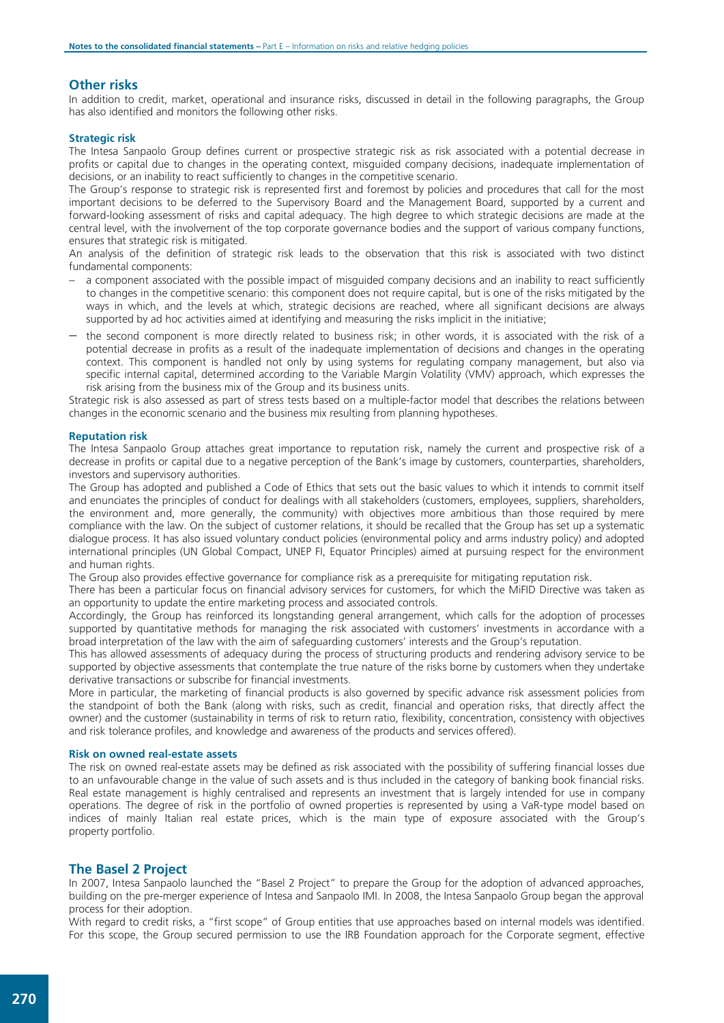## Other risks

In addition to credit, market, operational and insurance risks, discussed in detail in the following paragraphs, the Group has also identified and monitors the following other risks.

#### Strategic risk

The Intesa Sanpaolo Group defines current or prospective strategic risk as risk associated with a potential decrease in profits or capital due to changes in the operating context, misguided company decisions, inadequate implementation of decisions, or an inability to react sufficiently to changes in the competitive scenario.

The Group's response to strategic risk is represented first and foremost by policies and procedures that call for the most important decisions to be deferred to the Supervisory Board and the Management Board, supported by a current and forward-looking assessment of risks and capital adequacy. The high degree to which strategic decisions are made at the central level, with the involvement of the top corporate governance bodies and the support of various company functions, ensures that strategic risk is mitigated.

An analysis of the definition of strategic risk leads to the observation that this risk is associated with two distinct fundamental components:

- a component associated with the possible impact of misguided company decisions and an inability to react sufficiently to changes in the competitive scenario: this component does not require capital, but is one of the risks mitigated by the ways in which, and the levels at which, strategic decisions are reached, where all significant decisions are always supported by ad hoc activities aimed at identifying and measuring the risks implicit in the initiative;
- − the second component is more directly related to business risk; in other words, it is associated with the risk of a potential decrease in profits as a result of the inadequate implementation of decisions and changes in the operating context. This component is handled not only by using systems for regulating company management, but also via specific internal capital, determined according to the Variable Margin Volatility (VMV) approach, which expresses the risk arising from the business mix of the Group and its business units.

Strategic risk is also assessed as part of stress tests based on a multiple-factor model that describes the relations between changes in the economic scenario and the business mix resulting from planning hypotheses.

#### Reputation risk

The Intesa Sanpaolo Group attaches great importance to reputation risk, namely the current and prospective risk of a decrease in profits or capital due to a negative perception of the Bank's image by customers, counterparties, shareholders, investors and supervisory authorities.

The Group has adopted and published a Code of Ethics that sets out the basic values to which it intends to commit itself and enunciates the principles of conduct for dealings with all stakeholders (customers, employees, suppliers, shareholders, the environment and, more generally, the community) with objectives more ambitious than those required by mere compliance with the law. On the subject of customer relations, it should be recalled that the Group has set up a systematic dialogue process. It has also issued voluntary conduct policies (environmental policy and arms industry policy) and adopted international principles (UN Global Compact, UNEP FI, Equator Principles) aimed at pursuing respect for the environment and human rights.

The Group also provides effective governance for compliance risk as a prerequisite for mitigating reputation risk.

There has been a particular focus on financial advisory services for customers, for which the MiFID Directive was taken as an opportunity to update the entire marketing process and associated controls.

Accordingly, the Group has reinforced its longstanding general arrangement, which calls for the adoption of processes supported by quantitative methods for managing the risk associated with customers' investments in accordance with a broad interpretation of the law with the aim of safeguarding customers' interests and the Group's reputation.

This has allowed assessments of adequacy during the process of structuring products and rendering advisory service to be supported by objective assessments that contemplate the true nature of the risks borne by customers when they undertake derivative transactions or subscribe for financial investments.

More in particular, the marketing of financial products is also governed by specific advance risk assessment policies from the standpoint of both the Bank (along with risks, such as credit, financial and operation risks, that directly affect the owner) and the customer (sustainability in terms of risk to return ratio, flexibility, concentration, consistency with objectives and risk tolerance profiles, and knowledge and awareness of the products and services offered).

#### Risk on owned real-estate assets

The risk on owned real-estate assets may be defined as risk associated with the possibility of suffering financial losses due to an unfavourable change in the value of such assets and is thus included in the category of banking book financial risks. Real estate management is highly centralised and represents an investment that is largely intended for use in company operations. The degree of risk in the portfolio of owned properties is represented by using a VaR-type model based on indices of mainly Italian real estate prices, which is the main type of exposure associated with the Group's property portfolio.

## The Basel 2 Project

In 2007, Intesa Sanpaolo launched the "Basel 2 Project" to prepare the Group for the adoption of advanced approaches, building on the pre-merger experience of Intesa and Sanpaolo IMI. In 2008, the Intesa Sanpaolo Group began the approval process for their adoption.

With regard to credit risks, a "first scope" of Group entities that use approaches based on internal models was identified. For this scope, the Group secured permission to use the IRB Foundation approach for the Corporate segment, effective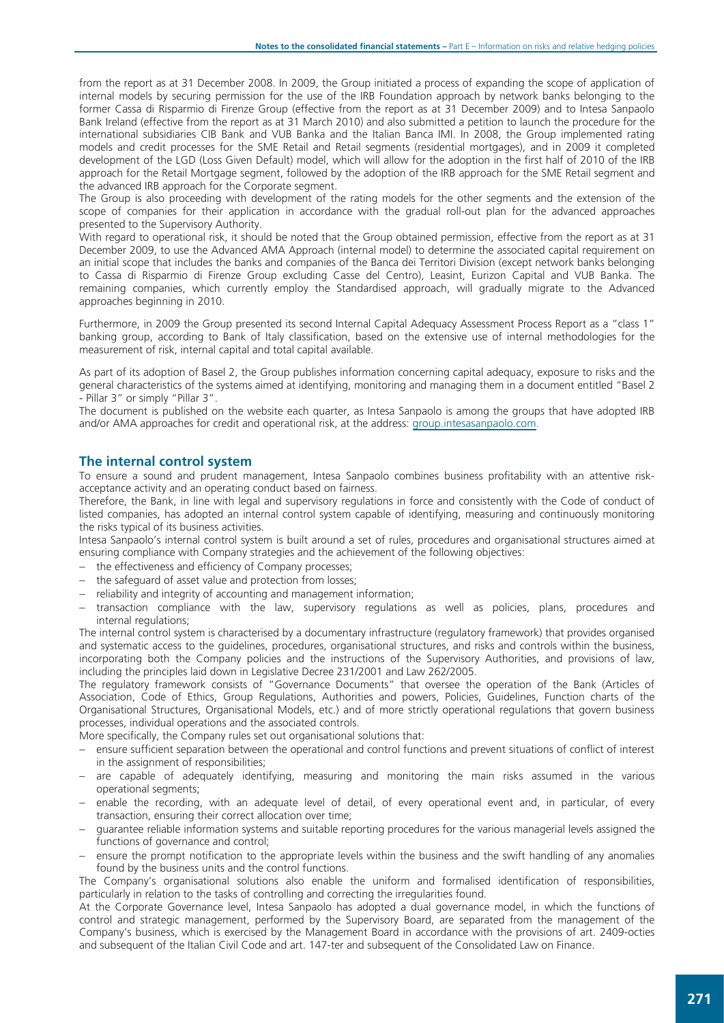from the report as at 31 December 2008. In 2009, the Group initiated a process of expanding the scope of application of internal models by securing permission for the use of the IRB Foundation approach by network banks belonging to the former Cassa di Risparmio di Firenze Group (effective from the report as at 31 December 2009) and to Intesa Sanpaolo Bank Ireland (effective from the report as at 31 March 2010) and also submitted a petition to launch the procedure for the international subsidiaries CIB Bank and VUB Banka and the Italian Banca IMI. In 2008, the Group implemented rating models and credit processes for the SME Retail and Retail segments (residential mortgages), and in 2009 it completed development of the LGD (Loss Given Default) model, which will allow for the adoption in the first half of 2010 of the IRB approach for the Retail Mortgage segment, followed by the adoption of the IRB approach for the SME Retail segment and the advanced IRB approach for the Corporate segment.

The Group is also proceeding with development of the rating models for the other segments and the extension of the scope of companies for their application in accordance with the gradual roll-out plan for the advanced approaches presented to the Supervisory Authority.

With regard to operational risk, it should be noted that the Group obtained permission, effective from the report as at 31 December 2009, to use the Advanced AMA Approach (internal model) to determine the associated capital requirement on an initial scope that includes the banks and companies of the Banca dei Territori Division (except network banks belonging to Cassa di Risparmio di Firenze Group excluding Casse del Centro), Leasint, Eurizon Capital and VUB Banka. The remaining companies, which currently employ the Standardised approach, will gradually migrate to the Advanced approaches beginning in 2010.

Furthermore, in 2009 the Group presented its second Internal Capital Adequacy Assessment Process Report as a "class 1" banking group, according to Bank of Italy classification, based on the extensive use of internal methodologies for the measurement of risk, internal capital and total capital available.

As part of its adoption of Basel 2, the Group publishes information concerning capital adequacy, exposure to risks and the general characteristics of the systems aimed at identifying, monitoring and managing them in a document entitled "Basel 2 - Pillar 3" or simply "Pillar 3".

The document is published on the website each quarter, as Intesa Sanpaolo is among the groups that have adopted IRB and/or AMA approaches for credit and operational risk, at the address: group.intesasanpaolo.com.

## The internal control system

To ensure a sound and prudent management, Intesa Sanpaolo combines business profitability with an attentive riskacceptance activity and an operating conduct based on fairness.

Therefore, the Bank, in line with legal and supervisory regulations in force and consistently with the Code of conduct of listed companies, has adopted an internal control system capable of identifying, measuring and continuously monitoring the risks typical of its business activities.

Intesa Sanpaolo's internal control system is built around a set of rules, procedures and organisational structures aimed at ensuring compliance with Company strategies and the achievement of the following objectives:

- − the effectiveness and efficiency of Company processes;
- − the safeguard of asset value and protection from losses;
- reliability and integrity of accounting and management information;
- transaction compliance with the law, supervisory regulations as well as policies, plans, procedures and internal regulations;

The internal control system is characterised by a documentary infrastructure (regulatory framework) that provides organised and systematic access to the guidelines, procedures, organisational structures, and risks and controls within the business, incorporating both the Company policies and the instructions of the Supervisory Authorities, and provisions of law, including the principles laid down in Legislative Decree 231/2001 and Law 262/2005.

The regulatory framework consists of "Governance Documents" that oversee the operation of the Bank (Articles of Association, Code of Ethics, Group Regulations, Authorities and powers, Policies, Guidelines, Function charts of the Organisational Structures, Organisational Models, etc.) and of more strictly operational regulations that govern business processes, individual operations and the associated controls.

More specifically, the Company rules set out organisational solutions that:

- ensure sufficient separation between the operational and control functions and prevent situations of conflict of interest in the assignment of responsibilities;
- are capable of adequately identifying, measuring and monitoring the main risks assumed in the various operational segments;
- enable the recording, with an adequate level of detail, of every operational event and, in particular, of every transaction, ensuring their correct allocation over time;
- − guarantee reliable information systems and suitable reporting procedures for the various managerial levels assigned the functions of governance and control;
- − ensure the prompt notification to the appropriate levels within the business and the swift handling of any anomalies found by the business units and the control functions.

The Company's organisational solutions also enable the uniform and formalised identification of responsibilities, particularly in relation to the tasks of controlling and correcting the irregularities found.

At the Corporate Governance level, Intesa Sanpaolo has adopted a dual governance model, in which the functions of control and strategic management, performed by the Supervisory Board, are separated from the management of the Company's business, which is exercised by the Management Board in accordance with the provisions of art. 2409-octies and subsequent of the Italian Civil Code and art. 147-ter and subsequent of the Consolidated Law on Finance.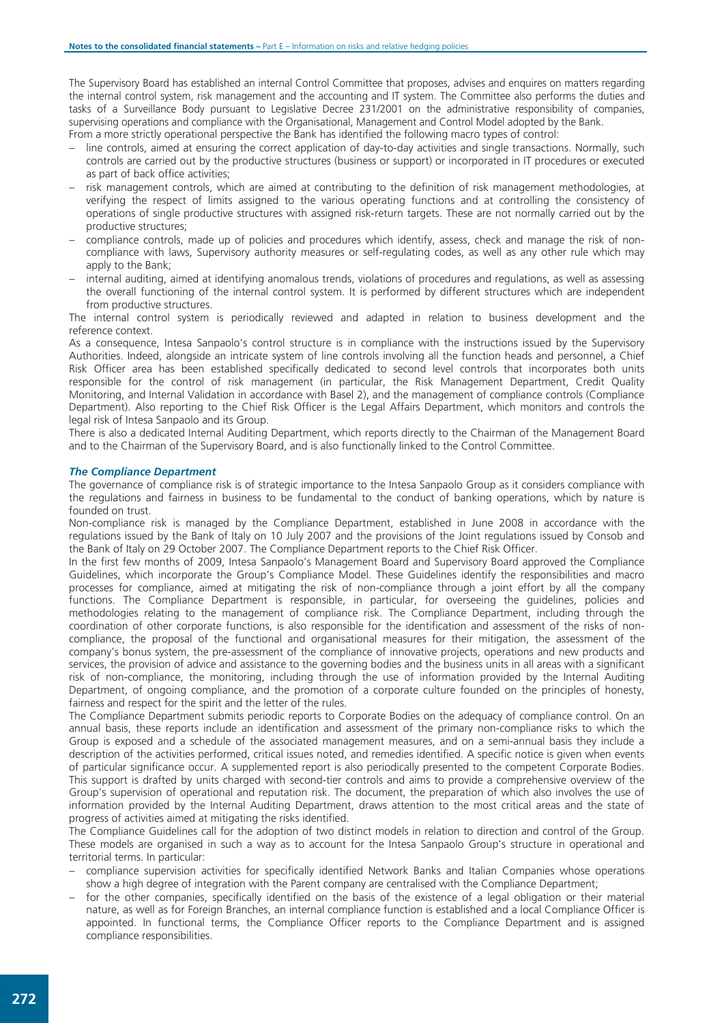The Supervisory Board has established an internal Control Committee that proposes, advises and enquires on matters regarding the internal control system, risk management and the accounting and IT system. The Committee also performs the duties and tasks of a Surveillance Body pursuant to Legislative Decree 231/2001 on the administrative responsibility of companies, supervising operations and compliance with the Organisational, Management and Control Model adopted by the Bank.

From a more strictly operational perspective the Bank has identified the following macro types of control:

- − line controls, aimed at ensuring the correct application of day-to-day activities and single transactions. Normally, such controls are carried out by the productive structures (business or support) or incorporated in IT procedures or executed as part of back office activities;
- − risk management controls, which are aimed at contributing to the definition of risk management methodologies, at verifying the respect of limits assigned to the various operating functions and at controlling the consistency of operations of single productive structures with assigned risk-return targets. These are not normally carried out by the productive structures;
- compliance controls, made up of policies and procedures which identify, assess, check and manage the risk of noncompliance with laws, Supervisory authority measures or self-regulating codes, as well as any other rule which may apply to the Bank;
- − internal auditing, aimed at identifying anomalous trends, violations of procedures and regulations, as well as assessing the overall functioning of the internal control system. It is performed by different structures which are independent from productive structures.

The internal control system is periodically reviewed and adapted in relation to business development and the reference context.

As a consequence, Intesa Sanpaolo's control structure is in compliance with the instructions issued by the Supervisory Authorities. Indeed, alongside an intricate system of line controls involving all the function heads and personnel, a Chief Risk Officer area has been established specifically dedicated to second level controls that incorporates both units responsible for the control of risk management (in particular, the Risk Management Department, Credit Quality Monitoring, and Internal Validation in accordance with Basel 2), and the management of compliance controls (Compliance Department). Also reporting to the Chief Risk Officer is the Legal Affairs Department, which monitors and controls the legal risk of Intesa Sanpaolo and its Group.

There is also a dedicated Internal Auditing Department, which reports directly to the Chairman of the Management Board and to the Chairman of the Supervisory Board, and is also functionally linked to the Control Committee.

## The Compliance Department

The governance of compliance risk is of strategic importance to the Intesa Sanpaolo Group as it considers compliance with the regulations and fairness in business to be fundamental to the conduct of banking operations, which by nature is founded on trust.

Non-compliance risk is managed by the Compliance Department, established in June 2008 in accordance with the regulations issued by the Bank of Italy on 10 July 2007 and the provisions of the Joint regulations issued by Consob and the Bank of Italy on 29 October 2007. The Compliance Department reports to the Chief Risk Officer.

In the first few months of 2009, Intesa Sanpaolo's Management Board and Supervisory Board approved the Compliance Guidelines, which incorporate the Group's Compliance Model. These Guidelines identify the responsibilities and macro processes for compliance, aimed at mitigating the risk of non-compliance through a joint effort by all the company functions. The Compliance Department is responsible, in particular, for overseeing the guidelines, policies and methodologies relating to the management of compliance risk. The Compliance Department, including through the coordination of other corporate functions, is also responsible for the identification and assessment of the risks of noncompliance, the proposal of the functional and organisational measures for their mitigation, the assessment of the company's bonus system, the pre-assessment of the compliance of innovative projects, operations and new products and services, the provision of advice and assistance to the governing bodies and the business units in all areas with a significant risk of non-compliance, the monitoring, including through the use of information provided by the Internal Auditing Department, of ongoing compliance, and the promotion of a corporate culture founded on the principles of honesty, fairness and respect for the spirit and the letter of the rules.

The Compliance Department submits periodic reports to Corporate Bodies on the adequacy of compliance control. On an annual basis, these reports include an identification and assessment of the primary non-compliance risks to which the Group is exposed and a schedule of the associated management measures, and on a semi-annual basis they include a description of the activities performed, critical issues noted, and remedies identified. A specific notice is given when events of particular significance occur. A supplemented report is also periodically presented to the competent Corporate Bodies. This support is drafted by units charged with second-tier controls and aims to provide a comprehensive overview of the Group's supervision of operational and reputation risk. The document, the preparation of which also involves the use of information provided by the Internal Auditing Department, draws attention to the most critical areas and the state of progress of activities aimed at mitigating the risks identified.

The Compliance Guidelines call for the adoption of two distinct models in relation to direction and control of the Group. These models are organised in such a way as to account for the Intesa Sanpaolo Group's structure in operational and territorial terms. In particular:

- − compliance supervision activities for specifically identified Network Banks and Italian Companies whose operations show a high degree of integration with the Parent company are centralised with the Compliance Department;
- for the other companies, specifically identified on the basis of the existence of a legal obligation or their material nature, as well as for Foreign Branches, an internal compliance function is established and a local Compliance Officer is appointed. In functional terms, the Compliance Officer reports to the Compliance Department and is assigned compliance responsibilities.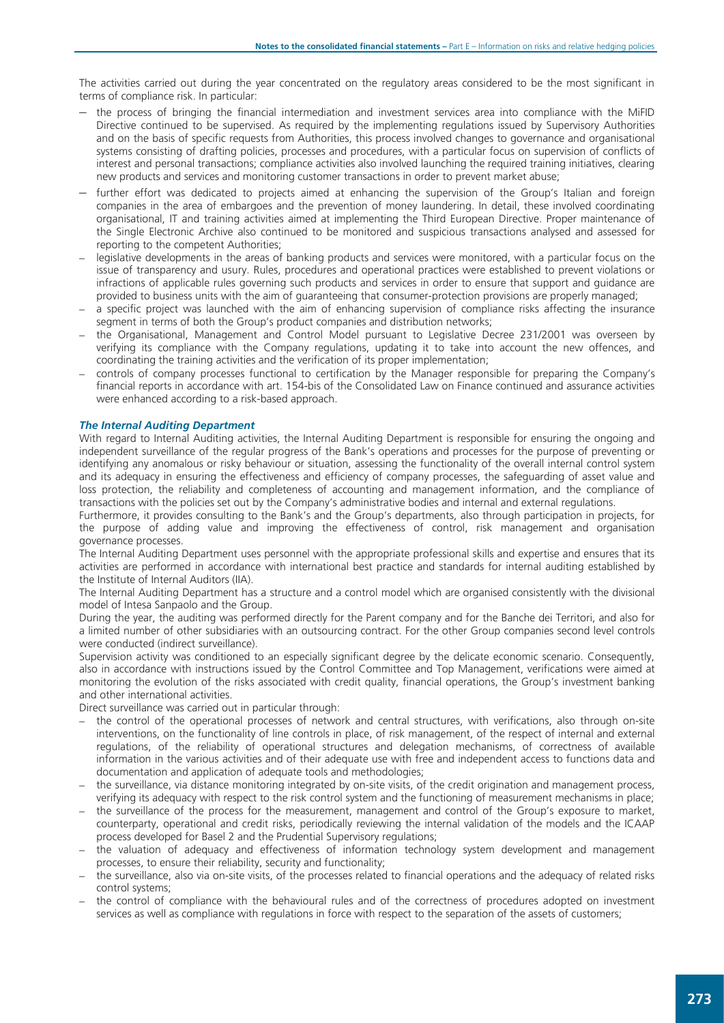The activities carried out during the year concentrated on the regulatory areas considered to be the most significant in terms of compliance risk. In particular:

- the process of bringing the financial intermediation and investment services area into compliance with the MiFID Directive continued to be supervised. As required by the implementing regulations issued by Supervisory Authorities and on the basis of specific requests from Authorities, this process involved changes to governance and organisational systems consisting of drafting policies, processes and procedures, with a particular focus on supervision of conflicts of interest and personal transactions; compliance activities also involved launching the required training initiatives, clearing new products and services and monitoring customer transactions in order to prevent market abuse;
- further effort was dedicated to projects aimed at enhancing the supervision of the Group's Italian and foreign companies in the area of embargoes and the prevention of money laundering. In detail, these involved coordinating organisational, IT and training activities aimed at implementing the Third European Directive. Proper maintenance of the Single Electronic Archive also continued to be monitored and suspicious transactions analysed and assessed for reporting to the competent Authorities;
- legislative developments in the areas of banking products and services were monitored, with a particular focus on the issue of transparency and usury. Rules, procedures and operational practices were established to prevent violations or infractions of applicable rules governing such products and services in order to ensure that support and guidance are provided to business units with the aim of guaranteeing that consumer-protection provisions are properly managed;
- a specific project was launched with the aim of enhancing supervision of compliance risks affecting the insurance segment in terms of both the Group's product companies and distribution networks;
- the Organisational, Management and Control Model pursuant to Legislative Decree 231/2001 was overseen by verifying its compliance with the Company regulations, updating it to take into account the new offences, and coordinating the training activities and the verification of its proper implementation;
- controls of company processes functional to certification by the Manager responsible for preparing the Company's financial reports in accordance with art. 154-bis of the Consolidated Law on Finance continued and assurance activities were enhanced according to a risk-based approach.

## The Internal Auditing Department

With regard to Internal Auditing activities, the Internal Auditing Department is responsible for ensuring the ongoing and independent surveillance of the regular progress of the Bank's operations and processes for the purpose of preventing or identifying any anomalous or risky behaviour or situation, assessing the functionality of the overall internal control system and its adequacy in ensuring the effectiveness and efficiency of company processes, the safeguarding of asset value and loss protection, the reliability and completeness of accounting and management information, and the compliance of transactions with the policies set out by the Company's administrative bodies and internal and external regulations.

Furthermore, it provides consulting to the Bank's and the Group's departments, also through participation in projects, for the purpose of adding value and improving the effectiveness of control, risk management and organisation governance processes.

The Internal Auditing Department uses personnel with the appropriate professional skills and expertise and ensures that its activities are performed in accordance with international best practice and standards for internal auditing established by the Institute of Internal Auditors (IIA).

The Internal Auditing Department has a structure and a control model which are organised consistently with the divisional model of Intesa Sanpaolo and the Group.

During the year, the auditing was performed directly for the Parent company and for the Banche dei Territori, and also for a limited number of other subsidiaries with an outsourcing contract. For the other Group companies second level controls were conducted (indirect surveillance).

Supervision activity was conditioned to an especially significant degree by the delicate economic scenario. Consequently, also in accordance with instructions issued by the Control Committee and Top Management, verifications were aimed at monitoring the evolution of the risks associated with credit quality, financial operations, the Group's investment banking and other international activities.

Direct surveillance was carried out in particular through:

- the control of the operational processes of network and central structures, with verifications, also through on-site interventions, on the functionality of line controls in place, of risk management, of the respect of internal and external regulations, of the reliability of operational structures and delegation mechanisms, of correctness of available information in the various activities and of their adequate use with free and independent access to functions data and documentation and application of adequate tools and methodologies;
- the surveillance, via distance monitoring integrated by on-site visits, of the credit origination and management process, verifying its adequacy with respect to the risk control system and the functioning of measurement mechanisms in place;
- the surveillance of the process for the measurement, management and control of the Group's exposure to market, counterparty, operational and credit risks, periodically reviewing the internal validation of the models and the ICAAP process developed for Basel 2 and the Prudential Supervisory regulations;
- the valuation of adequacy and effectiveness of information technology system development and management processes, to ensure their reliability, security and functionality;
- the surveillance, also via on-site visits, of the processes related to financial operations and the adequacy of related risks control systems;
- the control of compliance with the behavioural rules and of the correctness of procedures adopted on investment services as well as compliance with regulations in force with respect to the separation of the assets of customers;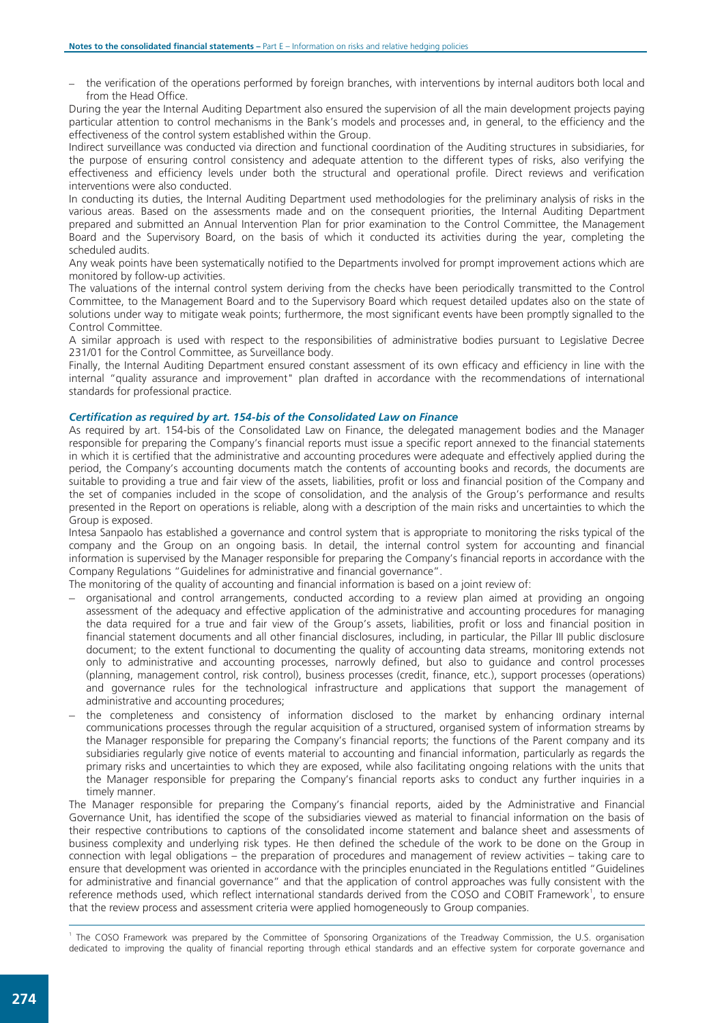– the verification of the operations performed by foreign branches, with interventions by internal auditors both local and from the Head Office.

During the year the Internal Auditing Department also ensured the supervision of all the main development projects paying particular attention to control mechanisms in the Bank's models and processes and, in general, to the efficiency and the effectiveness of the control system established within the Group.

Indirect surveillance was conducted via direction and functional coordination of the Auditing structures in subsidiaries, for the purpose of ensuring control consistency and adequate attention to the different types of risks, also verifying the effectiveness and efficiency levels under both the structural and operational profile. Direct reviews and verification interventions were also conducted.

In conducting its duties, the Internal Auditing Department used methodologies for the preliminary analysis of risks in the various areas. Based on the assessments made and on the consequent priorities, the Internal Auditing Department prepared and submitted an Annual Intervention Plan for prior examination to the Control Committee, the Management Board and the Supervisory Board, on the basis of which it conducted its activities during the year, completing the scheduled audits.

Any weak points have been systematically notified to the Departments involved for prompt improvement actions which are monitored by follow-up activities.

The valuations of the internal control system deriving from the checks have been periodically transmitted to the Control Committee, to the Management Board and to the Supervisory Board which request detailed updates also on the state of solutions under way to mitigate weak points; furthermore, the most significant events have been promptly signalled to the Control Committee.

A similar approach is used with respect to the responsibilities of administrative bodies pursuant to Legislative Decree 231/01 for the Control Committee, as Surveillance body.

Finally, the Internal Auditing Department ensured constant assessment of its own efficacy and efficiency in line with the internal "quality assurance and improvement" plan drafted in accordance with the recommendations of international standards for professional practice.

## Certification as required by art. 154-bis of the Consolidated Law on Finance

As required by art. 154-bis of the Consolidated Law on Finance, the delegated management bodies and the Manager responsible for preparing the Company's financial reports must issue a specific report annexed to the financial statements in which it is certified that the administrative and accounting procedures were adequate and effectively applied during the period, the Company's accounting documents match the contents of accounting books and records, the documents are suitable to providing a true and fair view of the assets, liabilities, profit or loss and financial position of the Company and the set of companies included in the scope of consolidation, and the analysis of the Group's performance and results presented in the Report on operations is reliable, along with a description of the main risks and uncertainties to which the Group is exposed.

Intesa Sanpaolo has established a governance and control system that is appropriate to monitoring the risks typical of the company and the Group on an ongoing basis. In detail, the internal control system for accounting and financial information is supervised by the Manager responsible for preparing the Company's financial reports in accordance with the Company Regulations "Guidelines for administrative and financial governance".

The monitoring of the quality of accounting and financial information is based on a joint review of:

- organisational and control arrangements, conducted according to a review plan aimed at providing an ongoing assessment of the adequacy and effective application of the administrative and accounting procedures for managing the data required for a true and fair view of the Group's assets, liabilities, profit or loss and financial position in financial statement documents and all other financial disclosures, including, in particular, the Pillar III public disclosure document; to the extent functional to documenting the quality of accounting data streams, monitoring extends not only to administrative and accounting processes, narrowly defined, but also to guidance and control processes (planning, management control, risk control), business processes (credit, finance, etc.), support processes (operations) and governance rules for the technological infrastructure and applications that support the management of administrative and accounting procedures;
- the completeness and consistency of information disclosed to the market by enhancing ordinary internal communications processes through the regular acquisition of a structured, organised system of information streams by the Manager responsible for preparing the Company's financial reports; the functions of the Parent company and its subsidiaries regularly give notice of events material to accounting and financial information, particularly as regards the primary risks and uncertainties to which they are exposed, while also facilitating ongoing relations with the units that the Manager responsible for preparing the Company's financial reports asks to conduct any further inquiries in a timely manner.

The Manager responsible for preparing the Company's financial reports, aided by the Administrative and Financial Governance Unit, has identified the scope of the subsidiaries viewed as material to financial information on the basis of their respective contributions to captions of the consolidated income statement and balance sheet and assessments of business complexity and underlying risk types. He then defined the schedule of the work to be done on the Group in connection with legal obligations – the preparation of procedures and management of review activities – taking care to ensure that development was oriented in accordance with the principles enunciated in the Regulations entitled "Guidelines for administrative and financial governance" and that the application of control approaches was fully consistent with the reference methods used, which reflect international standards derived from the COSO and COBIT Framework<sup>1</sup>, to ensure that the review process and assessment criteria were applied homogeneously to Group companies.

 1 The COSO Framework was prepared by the Committee of Sponsoring Organizations of the Treadway Commission, the U.S. organisation dedicated to improving the quality of financial reporting through ethical standards and an effective system for corporate governance and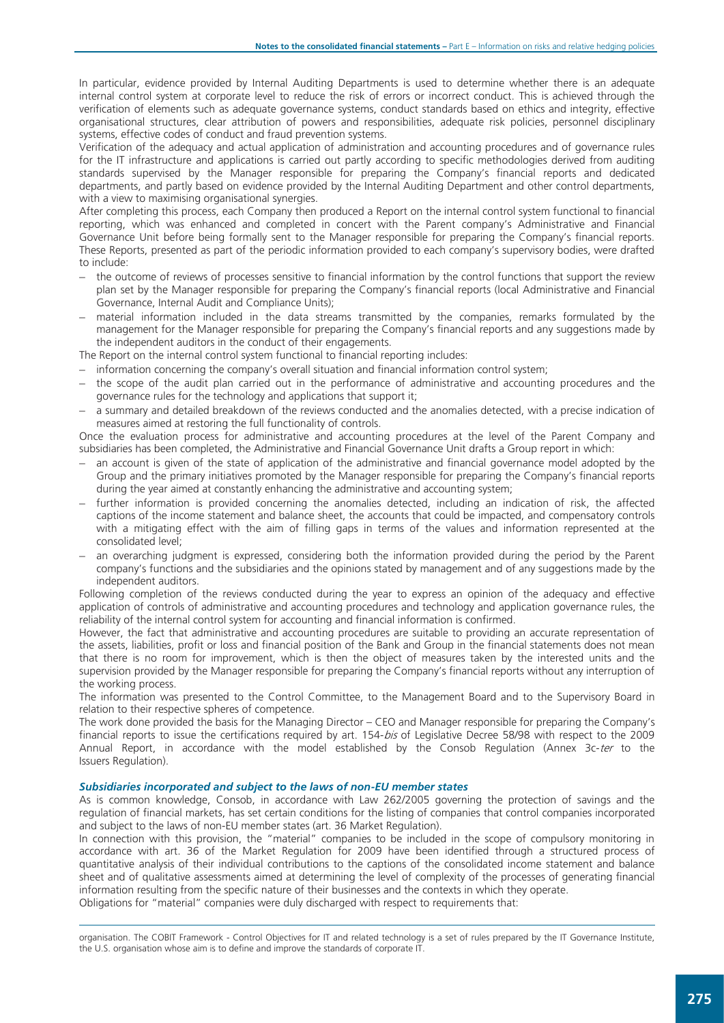In particular, evidence provided by Internal Auditing Departments is used to determine whether there is an adequate internal control system at corporate level to reduce the risk of errors or incorrect conduct. This is achieved through the verification of elements such as adequate governance systems, conduct standards based on ethics and integrity, effective organisational structures, clear attribution of powers and responsibilities, adequate risk policies, personnel disciplinary systems, effective codes of conduct and fraud prevention systems.

Verification of the adequacy and actual application of administration and accounting procedures and of governance rules for the IT infrastructure and applications is carried out partly according to specific methodologies derived from auditing standards supervised by the Manager responsible for preparing the Company's financial reports and dedicated departments, and partly based on evidence provided by the Internal Auditing Department and other control departments, with a view to maximising organisational synergies.

After completing this process, each Company then produced a Report on the internal control system functional to financial reporting, which was enhanced and completed in concert with the Parent company's Administrative and Financial Governance Unit before being formally sent to the Manager responsible for preparing the Company's financial reports. These Reports, presented as part of the periodic information provided to each company's supervisory bodies, were drafted to include:

- the outcome of reviews of processes sensitive to financial information by the control functions that support the review plan set by the Manager responsible for preparing the Company's financial reports (local Administrative and Financial Governance, Internal Audit and Compliance Units);
- material information included in the data streams transmitted by the companies, remarks formulated by the management for the Manager responsible for preparing the Company's financial reports and any suggestions made by the independent auditors in the conduct of their engagements.
- The Report on the internal control system functional to financial reporting includes:
- information concerning the company's overall situation and financial information control system;
- the scope of the audit plan carried out in the performance of administrative and accounting procedures and the governance rules for the technology and applications that support it;
- a summary and detailed breakdown of the reviews conducted and the anomalies detected, with a precise indication of measures aimed at restoring the full functionality of controls.

Once the evaluation process for administrative and accounting procedures at the level of the Parent Company and subsidiaries has been completed, the Administrative and Financial Governance Unit drafts a Group report in which:

- an account is given of the state of application of the administrative and financial governance model adopted by the Group and the primary initiatives promoted by the Manager responsible for preparing the Company's financial reports during the year aimed at constantly enhancing the administrative and accounting system;
- further information is provided concerning the anomalies detected, including an indication of risk, the affected captions of the income statement and balance sheet, the accounts that could be impacted, and compensatory controls with a mitigating effect with the aim of filling gaps in terms of the values and information represented at the consolidated level;
- an overarching judgment is expressed, considering both the information provided during the period by the Parent company's functions and the subsidiaries and the opinions stated by management and of any suggestions made by the independent auditors.

Following completion of the reviews conducted during the year to express an opinion of the adequacy and effective application of controls of administrative and accounting procedures and technology and application governance rules, the reliability of the internal control system for accounting and financial information is confirmed.

However, the fact that administrative and accounting procedures are suitable to providing an accurate representation of the assets, liabilities, profit or loss and financial position of the Bank and Group in the financial statements does not mean that there is no room for improvement, which is then the object of measures taken by the interested units and the supervision provided by the Manager responsible for preparing the Company's financial reports without any interruption of the working process.

The information was presented to the Control Committee, to the Management Board and to the Supervisory Board in relation to their respective spheres of competence.

The work done provided the basis for the Managing Director – CEO and Manager responsible for preparing the Company's financial reports to issue the certifications required by art. 154-bis of Legislative Decree 58/98 with respect to the 2009 Annual Report, in accordance with the model established by the Consob Regulation (Annex 3c-ter to the Issuers Regulation).

#### Subsidiaries incorporated and subject to the laws of non-EU member states

As is common knowledge, Consob, in accordance with Law 262/2005 governing the protection of savings and the regulation of financial markets, has set certain conditions for the listing of companies that control companies incorporated and subject to the laws of non-EU member states (art. 36 Market Regulation).

In connection with this provision, the "material" companies to be included in the scope of compulsory monitoring in accordance with art. 36 of the Market Regulation for 2009 have been identified through a structured process of quantitative analysis of their individual contributions to the captions of the consolidated income statement and balance sheet and of qualitative assessments aimed at determining the level of complexity of the processes of generating financial information resulting from the specific nature of their businesses and the contexts in which they operate. Obligations for "material" companies were duly discharged with respect to requirements that:

 $\overline{a}$ organisation. The COBIT Framework - Control Objectives for IT and related technology is a set of rules prepared by the IT Governance Institute, the U.S. organisation whose aim is to define and improve the standards of corporate IT.